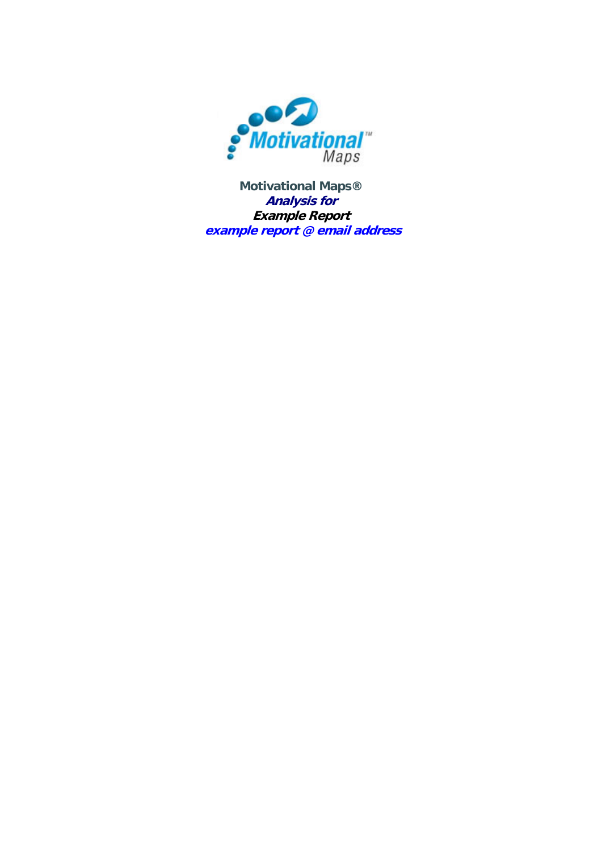

**Motivational Maps® Analysis for Example Report example report @ email address**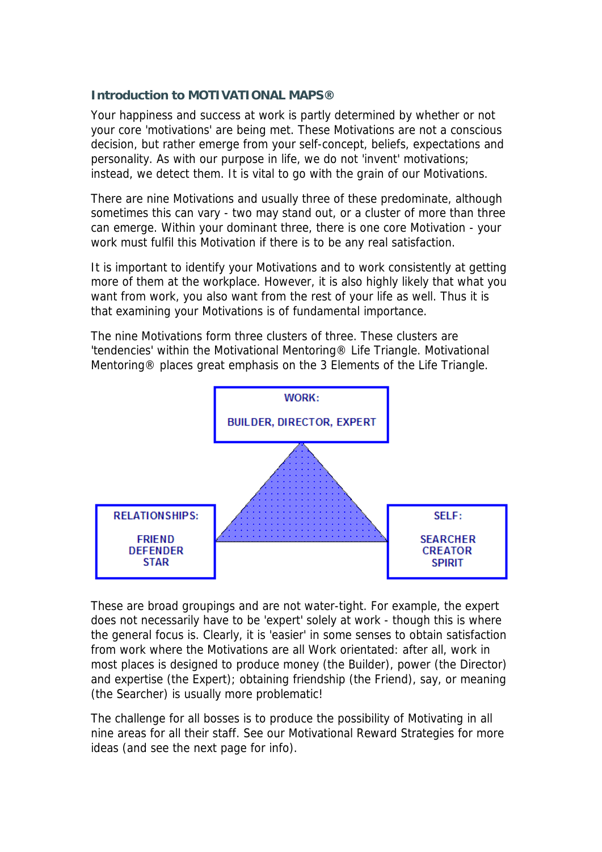#### **Introduction to MOTIVATIONAL MAPS®**

Your happiness and success at work is partly determined by whether or not your core 'motivations' are being met. These Motivations are not a conscious decision, but rather emerge from your self-concept, beliefs, expectations and personality. As with our purpose in life, we do not 'invent' motivations; instead, we detect them. It is vital to go with the grain of our Motivations.

There are nine Motivations and usually three of these predominate, although sometimes this can vary - two may stand out, or a cluster of more than three can emerge. Within your dominant three, there is one core Motivation - your work must fulfil this Motivation if there is to be any real satisfaction.

It is important to identify your Motivations and to work consistently at getting more of them at the workplace. However, it is also highly likely that what you want from work, you also want from the rest of your life as well. Thus it is that examining your Motivations is of fundamental importance.

The nine Motivations form three clusters of three. These clusters are 'tendencies' within the Motivational Mentoring® Life Triangle. Motivational Mentoring® places great emphasis on the 3 Elements of the Life Triangle.



These are broad groupings and are not water-tight. For example, the expert does not necessarily have to be 'expert' solely at work - though this is where the general focus is. Clearly, it is 'easier' in some senses to obtain satisfaction from work where the Motivations are all Work orientated: after all, work in most places is designed to produce money (the Builder), power (the Director) and expertise (the Expert); obtaining friendship (the Friend), say, or meaning (the Searcher) is usually more problematic!

The challenge for all bosses is to produce the possibility of Motivating in all nine areas for all their staff. See our Motivational Reward Strategies for more ideas (and see the next page for info).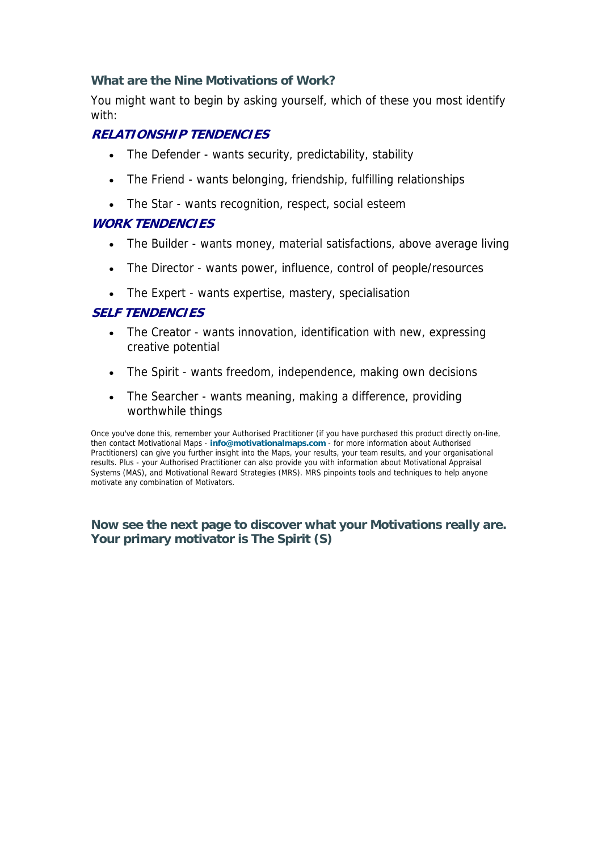# **What are the Nine Motivations of Work?**

You might want to begin by asking yourself, which of these you most identify with:

# **RELATIONSHIP TENDENCIES**

- The Defender wants security, predictability, stability
- The Friend wants belonging, friendship, fulfilling relationships
- The Star wants recognition, respect, social esteem

# **WORK TENDENCIES**

- The Builder wants money, material satisfactions, above average living
- The Director wants power, influence, control of people/resources
- The Expert wants expertise, mastery, specialisation

# **SELF TENDENCIES**

- The Creator wants innovation, identification with new, expressing creative potential
- The Spirit wants freedom, independence, making own decisions
- The Searcher wants meaning, making a difference, providing worthwhile things

Once you've done this, remember your Authorised Practitioner (if you have purchased this product directly on-line, then contact Motivational Maps - **[info@motivationalmaps.com](mailto:info@motivationalmaps.com)** - for more information about Authorised Practitioners) can give you further insight into the Maps, your results, your team results, and your organisational results. Plus - your Authorised Practitioner can also provide you with information about Motivational Appraisal Systems (MAS), and Motivational Reward Strategies (MRS). MRS pinpoints tools and techniques to help anyone motivate any combination of Motivators.

# **Now see the next page to discover what your Motivations really are. Your primary motivator is The Spirit (S)**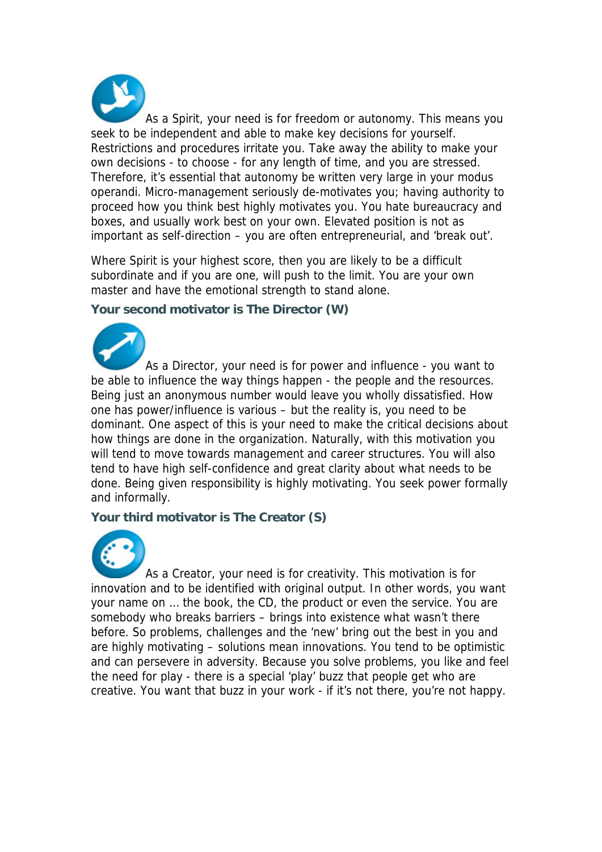As a Spirit, your need is for freedom or autonomy. This means you seek to be independent and able to make key decisions for yourself. Restrictions and procedures irritate you. Take away the ability to make your own decisions - to choose - for any length of time, and you are stressed. Therefore, it's essential that autonomy be written very large in your modus operandi. Micro-management seriously de-motivates you; having authority to proceed how you think best highly motivates you. You hate bureaucracy and boxes, and usually work best on your own. Elevated position is not as important as self-direction – you are often entrepreneurial, and 'break out'.

Where Spirit is your highest score, then you are likely to be a difficult subordinate and if you are one, will push to the limit. You are your own master and have the emotional strength to stand alone.

# **Your second motivator is The Director (W)**



As a Director, your need is for power and influence - you want to be able to influence the way things happen - the people and the resources. Being just an anonymous number would leave you wholly dissatisfied. How one has power/influence is various – but the reality is, you need to be dominant. One aspect of this is your need to make the critical decisions about how things are done in the organization. Naturally, with this motivation you will tend to move towards management and career structures. You will also tend to have high self-confidence and great clarity about what needs to be done. Being given responsibility is highly motivating. You seek power formally and informally.

#### **Your third motivator is The Creator (S)**



As a Creator, your need is for creativity. This motivation is for innovation and to be identified with original output. In other words, you want your name on … the book, the CD, the product or even the service. You are somebody who breaks barriers – brings into existence what wasn't there before. So problems, challenges and the 'new' bring out the best in you and are highly motivating – solutions mean innovations. You tend to be optimistic and can persevere in adversity. Because you solve problems, you like and feel the need for play - there is a special 'play' buzz that people get who are creative. You want that buzz in your work - if it's not there, you're not happy.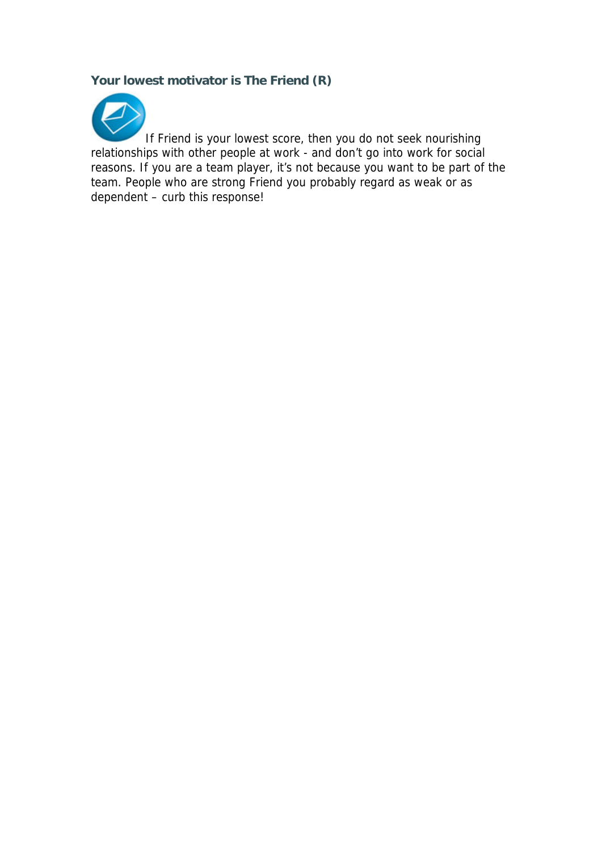# **Your lowest motivator is The Friend (R)**



If Friend is your lowest score, then you do not seek nourishing relationships with other people at work - and don't go into work for social reasons. If you are a team player, it's not because you want to be part of the team. People who are strong Friend you probably regard as weak or as dependent – curb this response!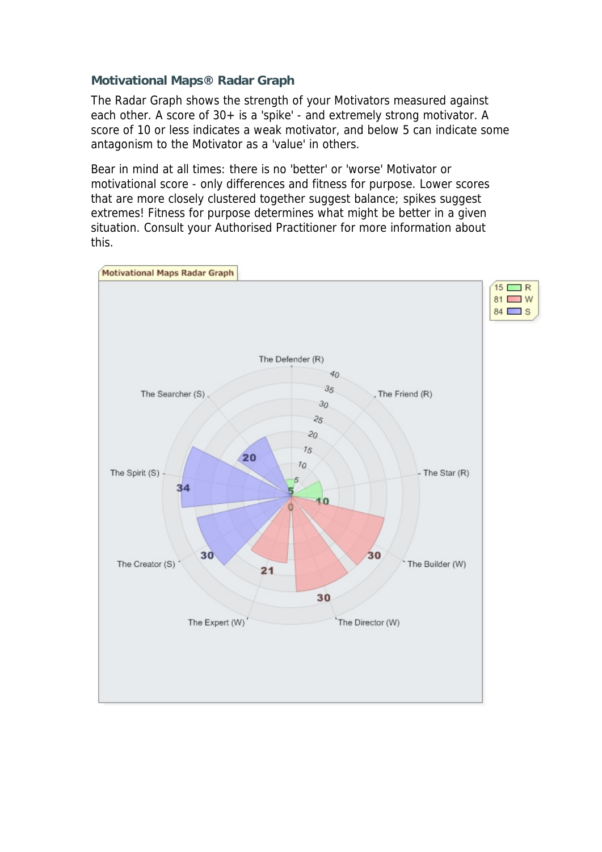# **Motivational Maps® Radar Graph**

The Radar Graph shows the strength of your Motivators measured against each other. A score of 30+ is a 'spike' - and extremely strong motivator. A score of 10 or less indicates a weak motivator, and below 5 can indicate some antagonism to the Motivator as a 'value' in others.

Bear in mind at all times: there is no 'better' or 'worse' Motivator or motivational score - only differences and fitness for purpose. Lower scores that are more closely clustered together suggest balance; spikes suggest extremes! Fitness for purpose determines what might be better in a given situation. Consult your Authorised Practitioner for more information about this.

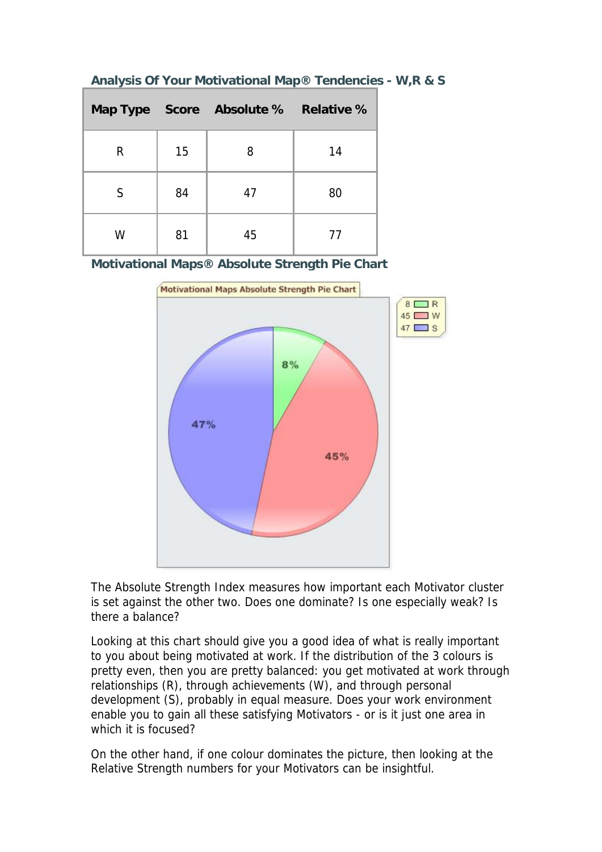|   |    | Map Type Score Absolute % Relative % |    |
|---|----|--------------------------------------|----|
| R | 15 | 8                                    | 14 |
| S | 84 | 47                                   | 80 |
| W | 81 | 45                                   | 77 |

# **Analysis Of Your Motivational Map® Tendencies - W,R & S**

**Motivational Maps® Absolute Strength Pie Chart** 



The Absolute Strength Index measures how important each Motivator cluster is set against the other two. Does one dominate? Is one especially weak? Is there a balance?

Looking at this chart should give you a good idea of what is really important to you about being motivated at work. If the distribution of the 3 colours is pretty even, then you are pretty balanced: you get motivated at work through relationships (R), through achievements (W), and through personal development (S), probably in equal measure. Does your work environment enable you to gain all these satisfying Motivators - or is it just one area in which it is focused?

On the other hand, if one colour dominates the picture, then looking at the Relative Strength numbers for your Motivators can be insightful.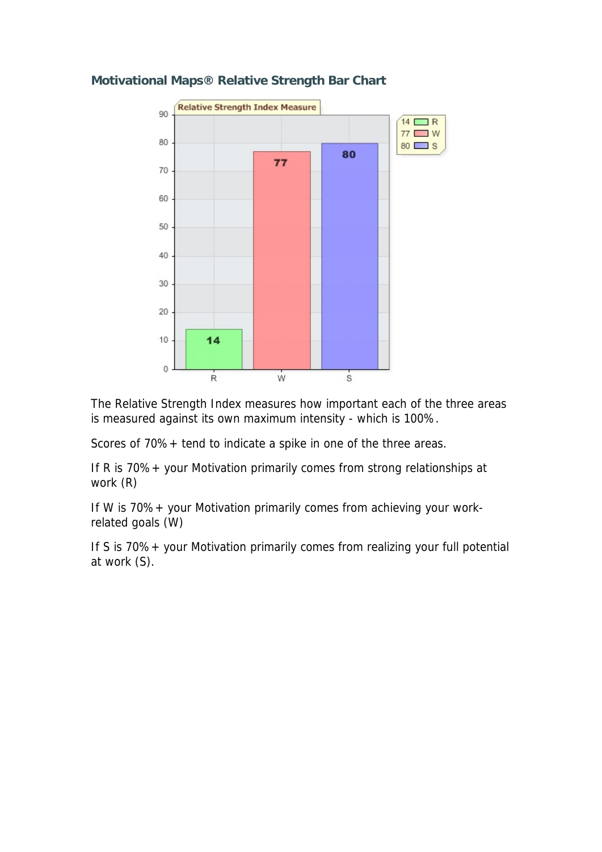

# **Motivational Maps® Relative Strength Bar Chart**

The Relative Strength Index measures how important each of the three areas is measured against its own maximum intensity - which is 100%.

Scores of 70%+ tend to indicate a spike in one of the three areas.

If R is 70%+ your Motivation primarily comes from strong relationships at work (R)

If W is 70%+ your Motivation primarily comes from achieving your workrelated goals (W)

If S is 70%+ your Motivation primarily comes from realizing your full potential at work (S).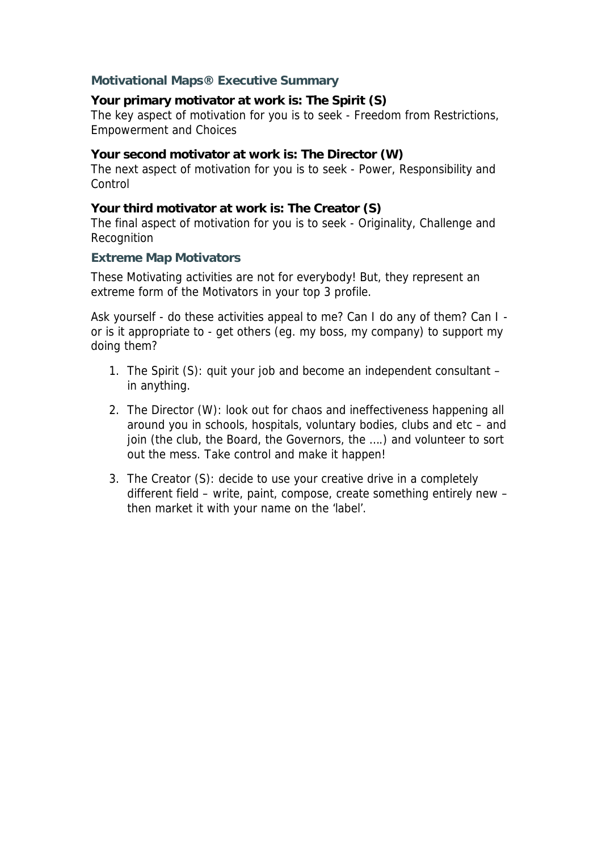# **Motivational Maps® Executive Summary**

# **Your primary motivator at work is: The Spirit (S)**

The key aspect of motivation for you is to seek - Freedom from Restrictions, Empowerment and Choices

#### **Your second motivator at work is: The Director (W)**

The next aspect of motivation for you is to seek - Power, Responsibility and **Control** 

#### **Your third motivator at work is: The Creator (S)**

The final aspect of motivation for you is to seek - Originality, Challenge and Recognition

#### **Extreme Map Motivators**

These Motivating activities are not for everybody! But, they represent an extreme form of the Motivators in your top 3 profile.

Ask yourself - do these activities appeal to me? Can I do any of them? Can I or is it appropriate to - get others (eg. my boss, my company) to support my doing them?

- 1. The Spirit (S): quit your job and become an independent consultant in anything.
- 2. The Director (W): look out for chaos and ineffectiveness happening all around you in schools, hospitals, voluntary bodies, clubs and etc – and join (the club, the Board, the Governors, the ….) and volunteer to sort out the mess. Take control and make it happen!
- 3. The Creator (S): decide to use your creative drive in a completely different field – write, paint, compose, create something entirely new – then market it with your name on the 'label'.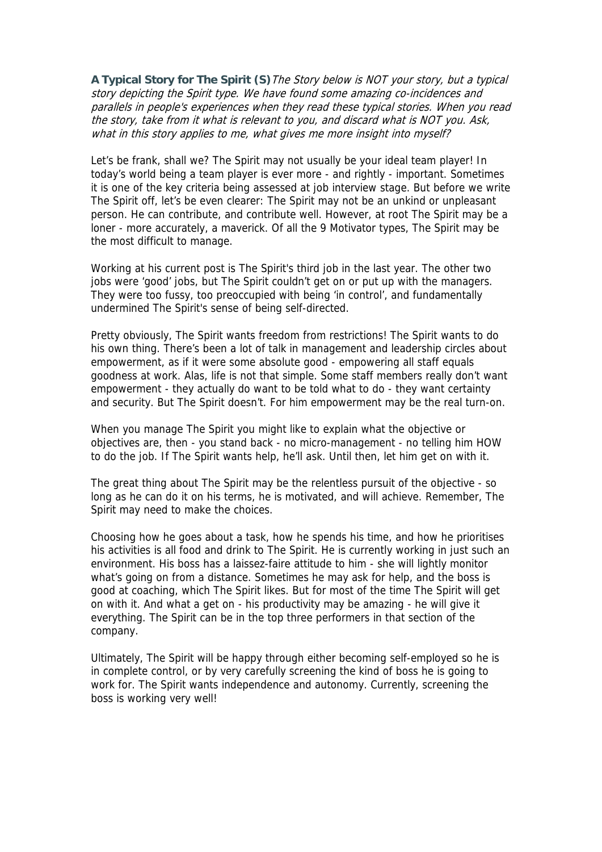**A Typical Story for The Spirit (S)**The Story below is NOT your story, but a typical story depicting the Spirit type. We have found some amazing co-incidences and parallels in people's experiences when they read these typical stories. When you read the story, take from it what is relevant to you, and discard what is NOT you. Ask, what in this story applies to me, what gives me more insight into myself?

Let's be frank, shall we? The Spirit may not usually be your ideal team player! In today's world being a team player is ever more - and rightly - important. Sometimes it is one of the key criteria being assessed at job interview stage. But before we write The Spirit off, let's be even clearer: The Spirit may not be an unkind or unpleasant person. He can contribute, and contribute well. However, at root The Spirit may be a loner - more accurately, a maverick. Of all the 9 Motivator types, The Spirit may be the most difficult to manage.

Working at his current post is The Spirit's third job in the last year. The other two jobs were 'good' jobs, but The Spirit couldn't get on or put up with the managers. They were too fussy, too preoccupied with being 'in control', and fundamentally undermined The Spirit's sense of being self-directed.

Pretty obviously, The Spirit wants freedom from restrictions! The Spirit wants to do his own thing. There's been a lot of talk in management and leadership circles about empowerment, as if it were some absolute good - empowering all staff equals goodness at work. Alas, life is not that simple. Some staff members really don't want empowerment - they actually do want to be told what to do - they want certainty and security. But The Spirit doesn't. For him empowerment may be the real turn-on.

When you manage The Spirit you might like to explain what the objective or objectives are, then - you stand back - no micro-management - no telling him HOW to do the job. If The Spirit wants help, he'll ask. Until then, let him get on with it.

The great thing about The Spirit may be the relentless pursuit of the objective - so long as he can do it on his terms, he is motivated, and will achieve. Remember, The Spirit may need to make the choices.

Choosing how he goes about a task, how he spends his time, and how he prioritises his activities is all food and drink to The Spirit. He is currently working in just such an environment. His boss has a laissez-faire attitude to him - she will lightly monitor what's going on from a distance. Sometimes he may ask for help, and the boss is good at coaching, which The Spirit likes. But for most of the time The Spirit will get on with it. And what a get on - his productivity may be amazing - he will give it everything. The Spirit can be in the top three performers in that section of the company.

Ultimately, The Spirit will be happy through either becoming self-employed so he is in complete control, or by very carefully screening the kind of boss he is going to work for. The Spirit wants independence and autonomy. Currently, screening the boss is working very well!